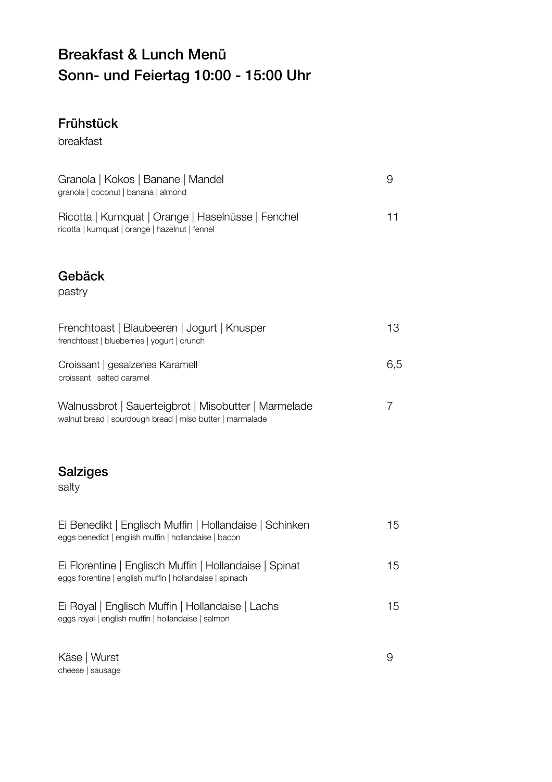## Breakfast & Lunch Menü Sonn- und Feiertag 10:00 - 15:00 Uhr

## Frühstück

breakfast

| Granola   Kokos   Banane   Mandel<br>granola   coconut   banana   almond                                           | 9   |
|--------------------------------------------------------------------------------------------------------------------|-----|
| Ricotta   Kumquat   Orange   Haselnüsse   Fenchel<br>ricotta   kumquat   orange   hazelnut   fennel                | 11  |
| Gebäck<br>pastry                                                                                                   |     |
| Frenchtoast   Blaubeeren   Jogurt   Knusper<br>frenchtoast   blueberries   yogurt   crunch                         | 13  |
| Croissant   gesalzenes Karamell<br>croissant   salted caramel                                                      | 6,5 |
| Walnussbrot   Sauerteigbrot   Misobutter   Marmelade<br>walnut bread   sourdough bread   miso butter   marmalade   | 7   |
| <b>Salziges</b><br>salty                                                                                           |     |
| Ei Benedikt   Englisch Muffin   Hollandaise   Schinken<br>eggs benedict   english muffin   hollandaise   bacon     | 15  |
| Ei Florentine   Englisch Muffin   Hollandaise   Spinat<br>eggs florentine   english muffin   hollandaise   spinach | 15  |
| Ei Royal   Englisch Muffin   Hollandaise   Lachs<br>eggs royal   english muffin   hollandaise   salmon             | 15  |
| Käse   Wurst<br>cheese   sausage                                                                                   | 9   |